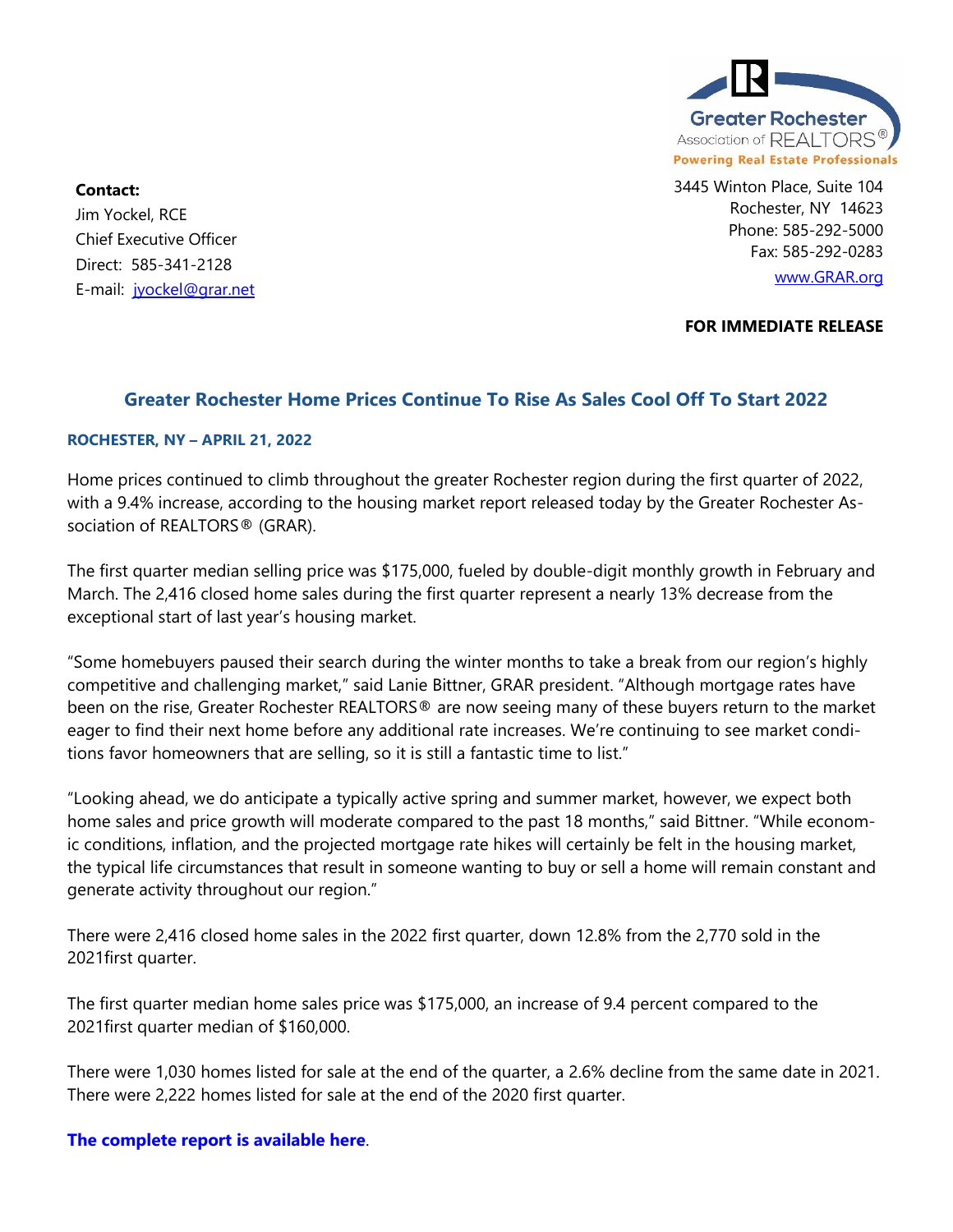

3445 Winton Place, Suite 104 Rochester, NY 14623 Phone: 585-292-5000 Fax: 585-292-0283 [www.GRAR.org](http://www.grar.org/)

Jim Yockel, RCE Chief Executive Officer Direct: 585-341-2128 E-mail: [jyockel@grar.net](mailto:jyockel@grar.net)

**Contact:** 

**FOR IMMEDIATE RELEASE**

## **Greater Rochester Home Prices Continue To Rise As Sales Cool Off To Start 2022**

## **ROCHESTER, NY – APRIL 21, 2022**

Home prices continued to climb throughout the greater Rochester region during the first quarter of 2022, with a 9.4% increase, according to the housing market report released today by the Greater Rochester Association of REALTORS® (GRAR).

The first quarter median selling price was \$175,000, fueled by double-digit monthly growth in February and March. The 2,416 closed home sales during the first quarter represent a nearly 13% decrease from the exceptional start of last year's housing market.

"Some homebuyers paused their search during the winter months to take a break from our region's highly competitive and challenging market," said Lanie Bittner, GRAR president. "Although mortgage rates have been on the rise, Greater Rochester REALTORS® are now seeing many of these buyers return to the market eager to find their next home before any additional rate increases. We're continuing to see market conditions favor homeowners that are selling, so it is still a fantastic time to list."

"Looking ahead, we do anticipate a typically active spring and summer market, however, we expect both home sales and price growth will moderate compared to the past 18 months," said Bittner. "While economic conditions, inflation, and the projected mortgage rate hikes will certainly be felt in the housing market, the typical life circumstances that result in someone wanting to buy or sell a home will remain constant and generate activity throughout our region."

There were 2,416 closed home sales in the 2022 first quarter, down 12.8% from the 2,770 sold in the 2021first quarter.

The first quarter median home sales price was \$175,000, an increase of 9.4 percent compared to the 2021first quarter median of \$160,000.

There were 1,030 homes listed for sale at the end of the quarter, a 2.6% decline from the same date in 2021. There were 2,222 homes listed for sale at the end of the 2020 first quarter.

## **[The complete report is available here](https://www.grar.org/wp-content/uploads/2022/04/GRAR_2022-Q1_Summary.pdf)**.